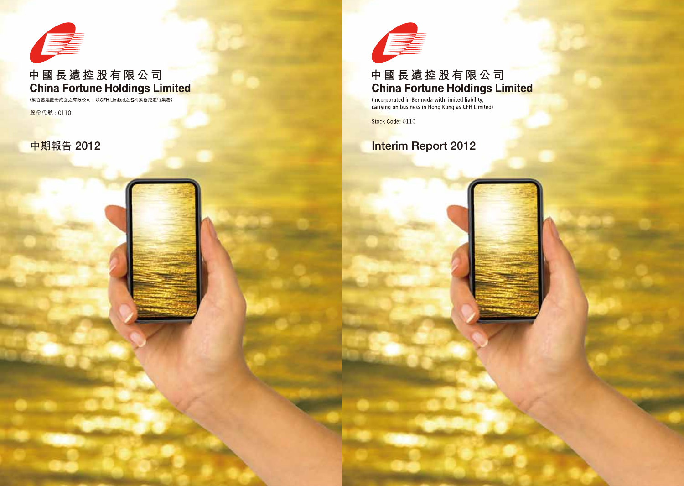

# 中國長遠控股有限公司 **China Fortune Holdings Limited**

(Incorporated in Bermuda with limited liability, carrying on business in Hong Kong as CFH Limited)

Stock Code: 0110

# **Interim Report 2012**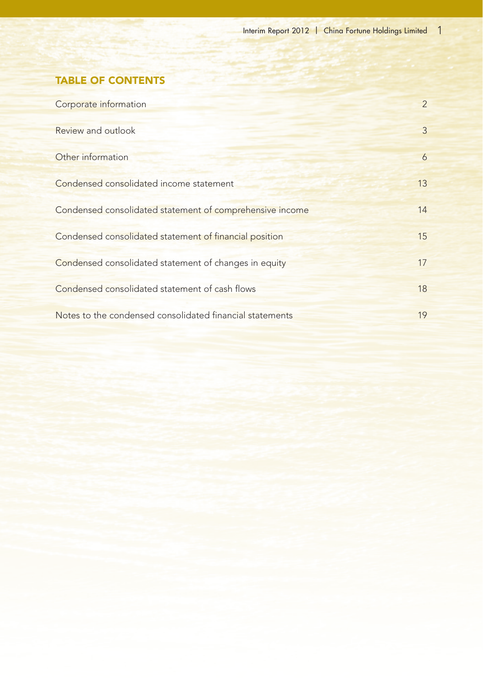# TABLE OF CONTENTS

| Corporate information                                    | $\overline{2}$ |
|----------------------------------------------------------|----------------|
| Review and outlook                                       | $\mathbf{3}$   |
| Other information                                        | 6              |
| Condensed consolidated income statement                  | 13             |
| Condensed consolidated statement of comprehensive income | 14             |
| Condensed consolidated statement of financial position   | 15             |
| Condensed consolidated statement of changes in equity    | 17             |
| Condensed consolidated statement of cash flows           | 18             |
| Notes to the condensed consolidated financial statements | 19             |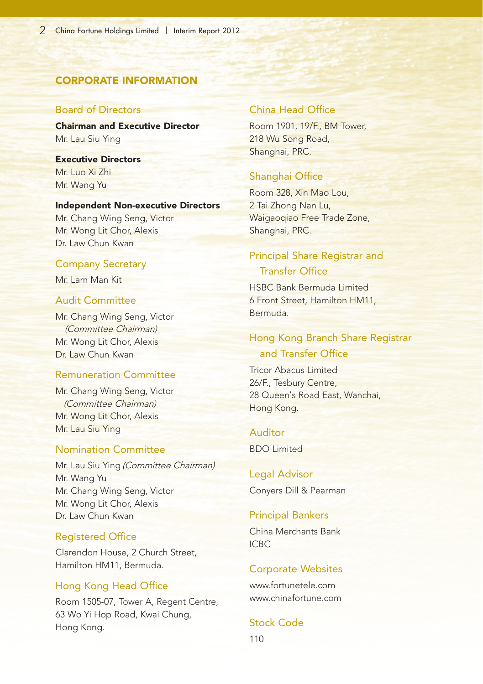# CORPORATE INFORMATION

#### Board of Directors

Chairman and Executive Director Mr. Lau Siu Ying

Executive Directors Mr. Luo Xi Zhi Mr. Wang Yu

#### Independent Non-executive Directors

Mr. Chang Wing Seng, Victor Mr. Wong Lit Chor, Alexis Dr. Law Chun Kwan

#### Company Secretary

Mr. Lam Man Kit

## Audit Committee

Mr. Chang Wing Seng, Victor (Committee Chairman) Mr. Wong Lit Chor, Alexis Dr. Law Chun Kwan

# Remuneration Committee

Mr. Chang Wing Seng, Victor (Committee Chairman) Mr. Wong Lit Chor, Alexis Mr. Lau Siu Ying

## Nomination Committee

Mr. Lau Siu Ying (Committee Chairman) Mr. Wang Yu Mr. Chang Wing Seng, Victor Mr. Wong Lit Chor, Alexis Dr. Law Chun Kwan

## Registered Office

Clarendon House, 2 Church Street, Hamilton HM11, Bermuda.

#### Hong Kong Head Office

Room 1505-07, Tower A, Regent Centre, 63 Wo Yi Hop Road, Kwai Chung, Hong Kong.

#### China Head Office

Room 1901, 19/F., BM Tower, 218 Wu Song Road, Shanghai, PRC.

## Shanghai Office

Room 328, Xin Mao Lou, 2 Tai Zhong Nan Lu, Waigaoqiao Free Trade Zone, Shanghai, PRC.

# Principal Share Registrar and Transfer Office

HSBC Bank Bermuda Limited 6 Front Street, Hamilton HM11, Bermuda.

# Hong Kong Branch Share Registrar and Transfer Office

Tricor Abacus Limited 26/F., Tesbury Centre, 28 Queen's Road East, Wanchai, Hong Kong.

#### Auditor

BDO Limited

Legal Advisor Conyers Dill & Pearman

#### Principal Bankers

China Merchants Bank ICBC

#### Corporate Websites

www.fortunetele.com www.chinafortune.com

Stock Code

110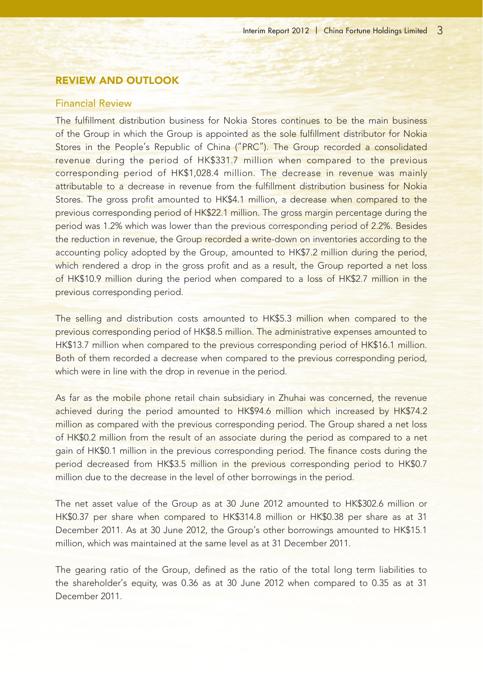# REVIEW AND OUTLOOK

# Financial Review

The fulfillment distribution business for Nokia Stores continues to be the main business of the Group in which the Group is appointed as the sole fulfillment distributor for Nokia Stores in the People's Republic of China ("PRC"). The Group recorded a consolidated revenue during the period of HK\$331.7 million when compared to the previous corresponding period of HK\$1,028.4 million. The decrease in revenue was mainly attributable to a decrease in revenue from the fulfillment distribution business for Nokia Stores. The gross profit amounted to HK\$4.1 million, a decrease when compared to the previous corresponding period of HK\$22.1 million. The gross margin percentage during the period was 1.2% which was lower than the previous corresponding period of 2.2%. Besides the reduction in revenue, the Group recorded a write-down on inventories according to the accounting policy adopted by the Group, amounted to HK\$7.2 million during the period, which rendered a drop in the gross profit and as a result, the Group reported a net loss of HK\$10.9 million during the period when compared to a loss of HK\$2.7 million in the previous corresponding period.

The selling and distribution costs amounted to HK\$5.3 million when compared to the previous corresponding period of HK\$8.5 million. The administrative expenses amounted to HK\$13.7 million when compared to the previous corresponding period of HK\$16.1 million. Both of them recorded a decrease when compared to the previous corresponding period, which were in line with the drop in revenue in the period.

As far as the mobile phone retail chain subsidiary in Zhuhai was concerned, the revenue achieved during the period amounted to HK\$94.6 million which increased by HK\$74.2 million as compared with the previous corresponding period. The Group shared a net loss of HK\$0.2 million from the result of an associate during the period as compared to a net gain of HK\$0.1 million in the previous corresponding period. The finance costs during the period decreased from HK\$3.5 million in the previous corresponding period to HK\$0.7 million due to the decrease in the level of other borrowings in the period.

The net asset value of the Group as at 30 June 2012 amounted to HK\$302.6 million or HK\$0.37 per share when compared to HK\$314.8 million or HK\$0.38 per share as at 31 December 2011. As at 30 June 2012, the Group's other borrowings amounted to HK\$15.1 million, which was maintained at the same level as at 31 December 2011.

The gearing ratio of the Group, defined as the ratio of the total long term liabilities to the shareholder's equity, was 0.36 as at 30 June 2012 when compared to 0.35 as at 31 December 2011.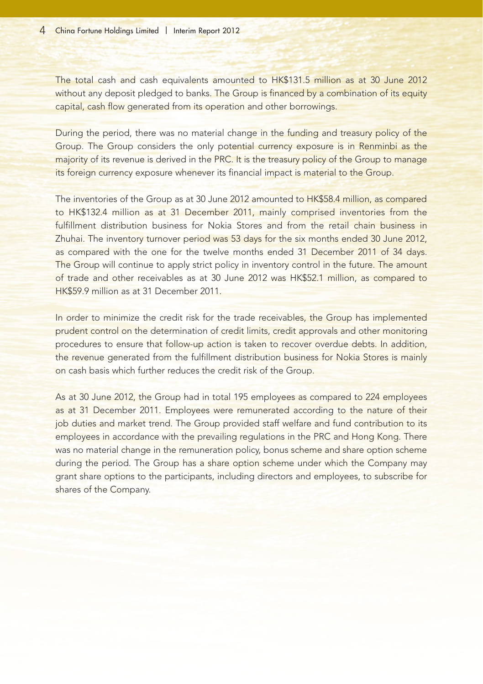The total cash and cash equivalents amounted to HK\$131.5 million as at 30 June 2012 without any deposit pledged to banks. The Group is financed by a combination of its equity capital, cash flow generated from its operation and other borrowings.

During the period, there was no material change in the funding and treasury policy of the Group. The Group considers the only potential currency exposure is in Renminbi as the majority of its revenue is derived in the PRC. It is the treasury policy of the Group to manage its foreign currency exposure whenever its financial impact is material to the Group.

The inventories of the Group as at 30 June 2012 amounted to HK\$58.4 million, as compared to HK\$132.4 million as at 31 December 2011, mainly comprised inventories from the fulfillment distribution business for Nokia Stores and from the retail chain business in Zhuhai. The inventory turnover period was 53 days for the six months ended 30 June 2012, as compared with the one for the twelve months ended 31 December 2011 of 34 days. The Group will continue to apply strict policy in inventory control in the future. The amount of trade and other receivables as at 30 June 2012 was HK\$52.1 million, as compared to HK\$59.9 million as at 31 December 2011.

In order to minimize the credit risk for the trade receivables, the Group has implemented prudent control on the determination of credit limits, credit approvals and other monitoring procedures to ensure that follow-up action is taken to recover overdue debts. In addition, the revenue generated from the fulfillment distribution business for Nokia Stores is mainly on cash basis which further reduces the credit risk of the Group.

As at 30 June 2012, the Group had in total 195 employees as compared to 224 employees as at 31 December 2011. Employees were remunerated according to the nature of their job duties and market trend. The Group provided staff welfare and fund contribution to its employees in accordance with the prevailing regulations in the PRC and Hong Kong. There was no material change in the remuneration policy, bonus scheme and share option scheme during the period. The Group has a share option scheme under which the Company may grant share options to the participants, including directors and employees, to subscribe for shares of the Company.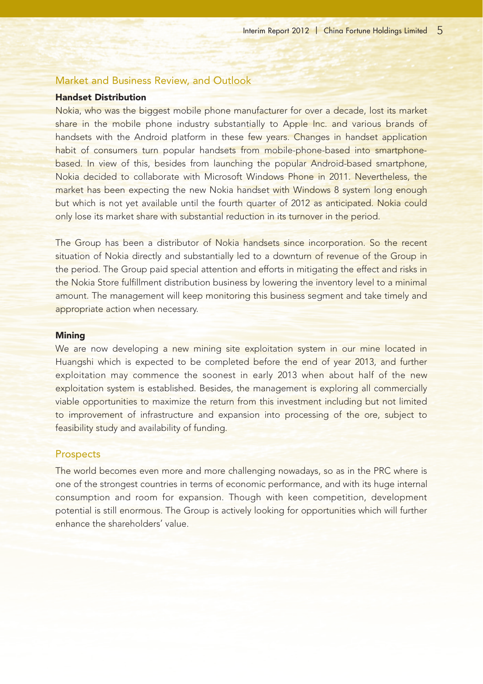# Market and Business Review, and Outlook

### Handset Distribution

Nokia, who was the biggest mobile phone manufacturer for over a decade, lost its market share in the mobile phone industry substantially to Apple Inc. and various brands of handsets with the Android platform in these few years. Changes in handset application habit of consumers turn popular handsets from mobile-phone-based into smartphonebased. In view of this, besides from launching the popular Android-based smartphone, Nokia decided to collaborate with Microsoft Windows Phone in 2011. Nevertheless, the market has been expecting the new Nokia handset with Windows 8 system long enough but which is not yet available until the fourth quarter of 2012 as anticipated. Nokia could only lose its market share with substantial reduction in its turnover in the period.

The Group has been a distributor of Nokia handsets since incorporation. So the recent situation of Nokia directly and substantially led to a downturn of revenue of the Group in the period. The Group paid special attention and efforts in mitigating the effect and risks in the Nokia Store fulfillment distribution business by lowering the inventory level to a minimal amount. The management will keep monitoring this business segment and take timely and appropriate action when necessary.

#### **Mining**

We are now developing a new mining site exploitation system in our mine located in Huangshi which is expected to be completed before the end of year 2013, and further exploitation may commence the soonest in early 2013 when about half of the new exploitation system is established. Besides, the management is exploring all commercially viable opportunities to maximize the return from this investment including but not limited to improvement of infrastructure and expansion into processing of the ore, subject to feasibility study and availability of funding.

#### **Prospects**

The world becomes even more and more challenging nowadays, so as in the PRC where is one of the strongest countries in terms of economic performance, and with its huge internal consumption and room for expansion. Though with keen competition, development potential is still enormous. The Group is actively looking for opportunities which will further enhance the shareholders' value.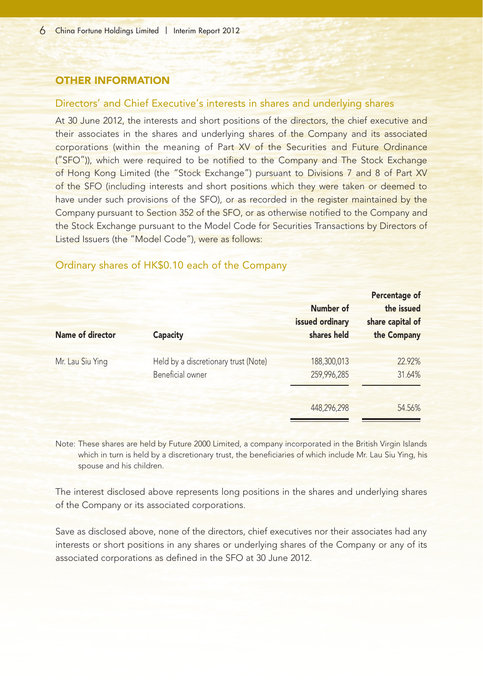# OTHER INFORMATION

#### Directors' and Chief Executive's interests in shares and underlying shares

At 30 June 2012, the interests and short positions of the directors, the chief executive and their associates in the shares and underlying shares of the Company and its associated corporations (within the meaning of Part XV of the Securities and Future Ordinance ("SFO")), which were required to be notified to the Company and The Stock Exchange of Hong Kong Limited (the "Stock Exchange") pursuant to Divisions 7 and 8 of Part XV of the SFO (including interests and short positions which they were taken or deemed to have under such provisions of the SFO), or as recorded in the register maintained by the Company pursuant to Section 352 of the SFO, or as otherwise notified to the Company and the Stock Exchange pursuant to the Model Code for Securities Transactions by Directors of Listed Issuers (the "Model Code"), were as follows:

| Name of director | <b>Capacity</b>                                          | Number of<br>issued ordinary<br>shares held | <b>Percentage of</b><br>the issued<br>share capital of<br>the Company |
|------------------|----------------------------------------------------------|---------------------------------------------|-----------------------------------------------------------------------|
| Mr. Lau Siu Ying | Held by a discretionary trust (Note)<br>Beneficial owner | 188,300,013<br>259,996,285                  | 22.92%<br>31.64%                                                      |
|                  |                                                          | 448,296,298                                 | 54.56%                                                                |

# Ordinary shares of HK\$0.10 each of the Company

Note: These shares are held by Future 2000 Limited, a company incorporated in the British Virgin Islands which in turn is held by a discretionary trust, the beneficiaries of which include Mr. Lau Siu Ying, his spouse and his children.

The interest disclosed above represents long positions in the shares and underlying shares of the Company or its associated corporations.

Save as disclosed above, none of the directors, chief executives nor their associates had any interests or short positions in any shares or underlying shares of the Company or any of its associated corporations as defined in the SFO at 30 June 2012.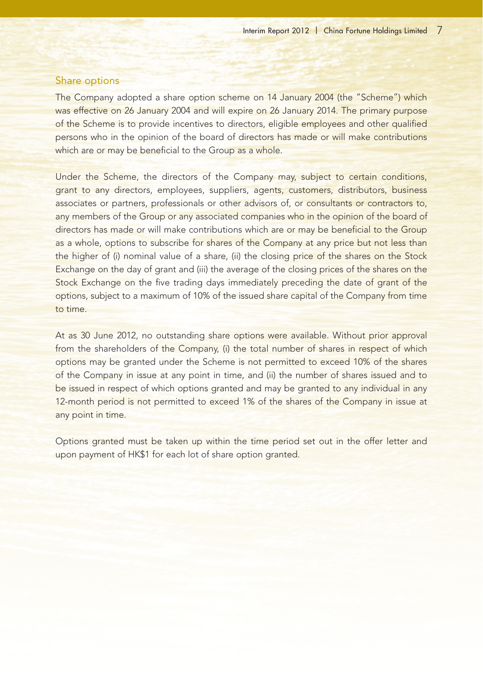## Share options

The Company adopted a share option scheme on 14 January 2004 (the "Scheme") which was effective on 26 January 2004 and will expire on 26 January 2014. The primary purpose of the Scheme is to provide incentives to directors, eligible employees and other qualified persons who in the opinion of the board of directors has made or will make contributions which are or may be beneficial to the Group as a whole.

Under the Scheme, the directors of the Company may, subject to certain conditions, grant to any directors, employees, suppliers, agents, customers, distributors, business associates or partners, professionals or other advisors of, or consultants or contractors to, any members of the Group or any associated companies who in the opinion of the board of directors has made or will make contributions which are or may be beneficial to the Group as a whole, options to subscribe for shares of the Company at any price but not less than the higher of (i) nominal value of a share, (ii) the closing price of the shares on the Stock Exchange on the day of grant and (iii) the average of the closing prices of the shares on the Stock Exchange on the five trading days immediately preceding the date of grant of the options, subject to a maximum of 10% of the issued share capital of the Company from time to time.

At as 30 June 2012, no outstanding share options were available. Without prior approval from the shareholders of the Company, (i) the total number of shares in respect of which options may be granted under the Scheme is not permitted to exceed 10% of the shares of the Company in issue at any point in time, and (ii) the number of shares issued and to be issued in respect of which options granted and may be granted to any individual in any 12-month period is not permitted to exceed 1% of the shares of the Company in issue at any point in time.

Options granted must be taken up within the time period set out in the offer letter and upon payment of HK\$1 for each lot of share option granted.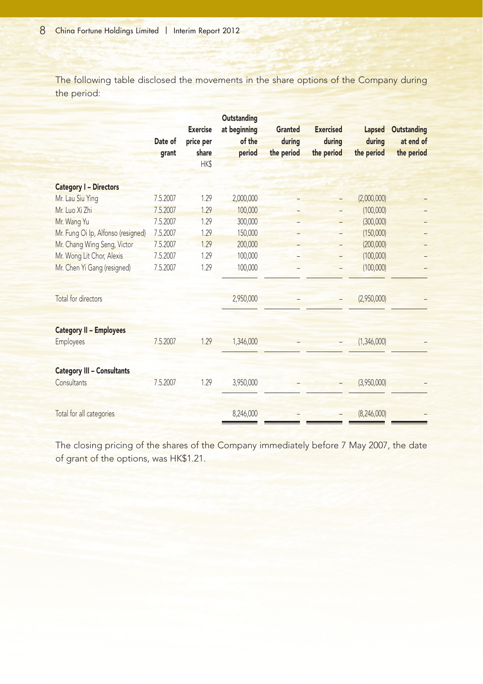The following table disclosed the movements in the share options of the Company during the period:

|                                    | Date of<br>grant | <b>Exercise</b><br>price per<br>share<br>HK\$ | Outstanding<br>at beginning<br>of the<br>period | Granted<br>during<br>the period | <b>Exercised</b><br>during<br>the period | Lapsed<br>during<br>the period | <b>Outstanding</b><br>at end of<br>the period |
|------------------------------------|------------------|-----------------------------------------------|-------------------------------------------------|---------------------------------|------------------------------------------|--------------------------------|-----------------------------------------------|
| <b>Category I - Directors</b>      |                  |                                               |                                                 |                                 |                                          |                                |                                               |
| Mr. Lau Siu Ying                   | 7.5.2007         | 1.29                                          | 2,000,000                                       |                                 |                                          | (2,000,000)                    |                                               |
| Mr. Luo Xi Zhi                     | 7.5.2007         | 1.29                                          | 100,000                                         |                                 | $\overline{a}$                           | (100,000)                      |                                               |
| Mr. Wang Yu                        | 7.5.2007         | 1.29                                          | 300,000                                         |                                 |                                          | (300,000)                      |                                               |
| Mr. Fung Oi Ip, Alfonso (resigned) | 7.5.2007         | 1.29                                          | 150,000                                         |                                 |                                          | (150,000)                      |                                               |
| Mr. Chang Wing Seng, Victor        | 7.5.2007         | 1.29                                          | 200,000                                         |                                 | $\overline{a}$                           | (200,000)                      |                                               |
| Mr. Wong Lit Chor, Alexis          | 7.5.2007         | 1.29                                          | 100,000                                         |                                 | $\overline{a}$                           | (100,000)                      |                                               |
| Mr. Chen Yi Gang (resigned)        | 7.5.2007         | 1.29                                          | 100,000                                         |                                 | $\overline{a}$                           | (100,000)                      |                                               |
| Total for directors                |                  |                                               | 2,950,000                                       |                                 |                                          | (2,950,000)                    |                                               |
| <b>Category II - Employees</b>     |                  |                                               |                                                 |                                 |                                          |                                |                                               |
| <b>Employees</b>                   | 7.5.2007         | 1.29                                          | 1,346,000                                       |                                 |                                          | (1,346,000)                    |                                               |
| <b>Category III - Consultants</b>  |                  |                                               |                                                 |                                 |                                          |                                |                                               |
| <b>Consultants</b>                 | 7.5.2007         | 1.29                                          | 3,950,000                                       |                                 |                                          | (3,950,000)                    |                                               |
| Total for all categories           |                  |                                               | 8,246,000                                       |                                 |                                          | (8,246,000)                    |                                               |

The closing pricing of the shares of the Company immediately before 7 May 2007, the date of grant of the options, was HK\$1.21.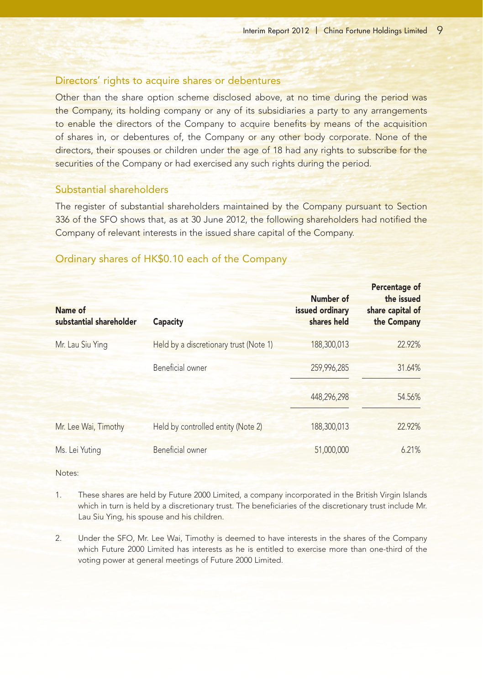### Directors' rights to acquire shares or debentures

Other than the share option scheme disclosed above, at no time during the period was the Company, its holding company or any of its subsidiaries a party to any arrangements to enable the directors of the Company to acquire benefits by means of the acquisition of shares in, or debentures of, the Company or any other body corporate. None of the directors, their spouses or children under the age of 18 had any rights to subscribe for the securities of the Company or had exercised any such rights during the period.

# Substantial shareholders

The register of substantial shareholders maintained by the Company pursuant to Section 336 of the SFO shows that, as at 30 June 2012, the following shareholders had notified the Company of relevant interests in the issued share capital of the Company.

| Name of<br>substantial shareholder | Capacity                               | Number of<br>issued ordinary<br>shares held | Percentage of<br>the issued<br>share capital of<br>the Company |
|------------------------------------|----------------------------------------|---------------------------------------------|----------------------------------------------------------------|
| Mr. Lau Siu Ying                   | Held by a discretionary trust (Note 1) | 188,300,013                                 | 22.92%                                                         |
|                                    | Beneficial owner                       | 259,996,285                                 | 31.64%                                                         |
|                                    |                                        | 448,296,298                                 | 54.56%                                                         |
| Mr. Lee Wai, Timothy               | Held by controlled entity (Note 2)     | 188,300,013                                 | 22.92%                                                         |
| Ms. Lei Yuting                     | <b>Beneficial</b> owner                | 51,000,000                                  | 6.21%                                                          |

## Ordinary shares of HK\$0.10 each of the Company

Notes:

- 1. These shares are held by Future 2000 Limited, a company incorporated in the British Virgin Islands which in turn is held by a discretionary trust. The beneficiaries of the discretionary trust include Mr. Lau Siu Ying, his spouse and his children.
- 2. Under the SFO, Mr. Lee Wai, Timothy is deemed to have interests in the shares of the Company which Future 2000 Limited has interests as he is entitled to exercise more than one-third of the voting power at general meetings of Future 2000 Limited.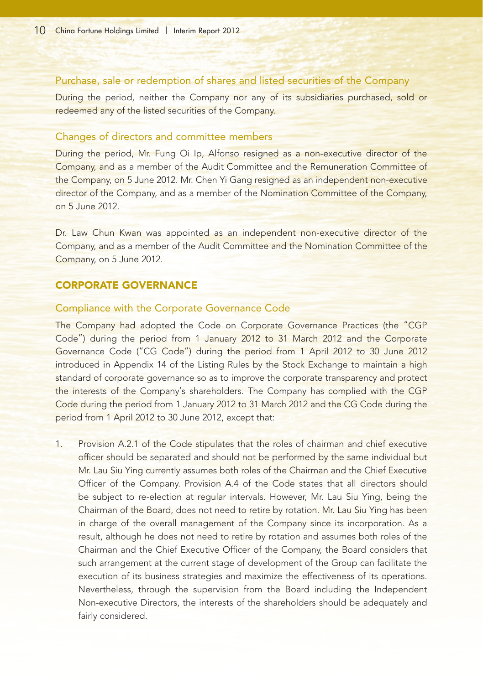# Purchase, sale or redemption of shares and listed securities of the Company

During the period, neither the Company nor any of its subsidiaries purchased, sold or redeemed any of the listed securities of the Company.

# Changes of directors and committee members

During the period, Mr. Fung Oi Ip, Alfonso resigned as a non-executive director of the Company, and as a member of the Audit Committee and the Remuneration Committee of the Company, on 5 June 2012. Mr. Chen Yi Gang resigned as an independent non-executive director of the Company, and as a member of the Nomination Committee of the Company, on 5 June 2012.

Dr. Law Chun Kwan was appointed as an independent non-executive director of the Company, and as a member of the Audit Committee and the Nomination Committee of the Company, on 5 June 2012.

# CORPORATE GOVERNANCE

## Compliance with the Corporate Governance Code

The Company had adopted the Code on Corporate Governance Practices (the "CGP Code") during the period from 1 January 2012 to 31 March 2012 and the Corporate Governance Code ("CG Code") during the period from 1 April 2012 to 30 June 2012 introduced in Appendix 14 of the Listing Rules by the Stock Exchange to maintain a high standard of corporate governance so as to improve the corporate transparency and protect the interests of the Company's shareholders. The Company has complied with the CGP Code during the period from 1 January 2012 to 31 March 2012 and the CG Code during the period from 1 April 2012 to 30 June 2012, except that:

Provision A.2.1 of the Code stipulates that the roles of chairman and chief executive officer should be separated and should not be performed by the same individual but Mr. Lau Siu Ying currently assumes both roles of the Chairman and the Chief Executive Officer of the Company. Provision A.4 of the Code states that all directors should be subject to re-election at regular intervals. However, Mr. Lau Siu Ying, being the Chairman of the Board, does not need to retire by rotation. Mr. Lau Siu Ying has been in charge of the overall management of the Company since its incorporation. As a result, although he does not need to retire by rotation and assumes both roles of the Chairman and the Chief Executive Officer of the Company, the Board considers that such arrangement at the current stage of development of the Group can facilitate the execution of its business strategies and maximize the effectiveness of its operations. Nevertheless, through the supervision from the Board including the Independent Non-executive Directors, the interests of the shareholders should be adequately and fairly considered.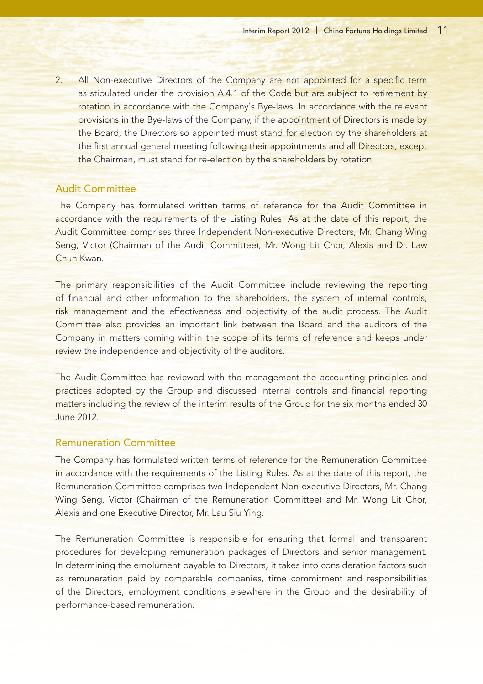2. All Non-executive Directors of the Company are not appointed for a specific term as stipulated under the provision A.4.1 of the Code but are subject to retirement by rotation in accordance with the Company's Bye-laws. In accordance with the relevant provisions in the Bye-laws of the Company, if the appointment of Directors is made by the Board, the Directors so appointed must stand for election by the shareholders at the first annual general meeting following their appointments and all Directors, except the Chairman, must stand for re-election by the shareholders by rotation.

## Audit Committee

The Company has formulated written terms of reference for the Audit Committee in accordance with the requirements of the Listing Rules. As at the date of this report, the Audit Committee comprises three Independent Non-executive Directors, Mr. Chang Wing Seng, Victor (Chairman of the Audit Committee), Mr. Wong Lit Chor, Alexis and Dr. Law Chun Kwan.

The primary responsibilities of the Audit Committee include reviewing the reporting of financial and other information to the shareholders, the system of internal controls, risk management and the effectiveness and objectivity of the audit process. The Audit Committee also provides an important link between the Board and the auditors of the Company in matters coming within the scope of its terms of reference and keeps under review the independence and objectivity of the auditors.

The Audit Committee has reviewed with the management the accounting principles and practices adopted by the Group and discussed internal controls and financial reporting matters including the review of the interim results of the Group for the six months ended 30 June 2012.

### Remuneration Committee

The Company has formulated written terms of reference for the Remuneration Committee in accordance with the requirements of the Listing Rules. As at the date of this report, the Remuneration Committee comprises two Independent Non-executive Directors, Mr. Chang Wing Seng, Victor (Chairman of the Remuneration Committee) and Mr. Wong Lit Chor, Alexis and one Executive Director, Mr. Lau Siu Ying.

The Remuneration Committee is responsible for ensuring that formal and transparent procedures for developing remuneration packages of Directors and senior management. In determining the emolument payable to Directors, it takes into consideration factors such as remuneration paid by comparable companies, time commitment and responsibilities of the Directors, employment conditions elsewhere in the Group and the desirability of performance-based remuneration.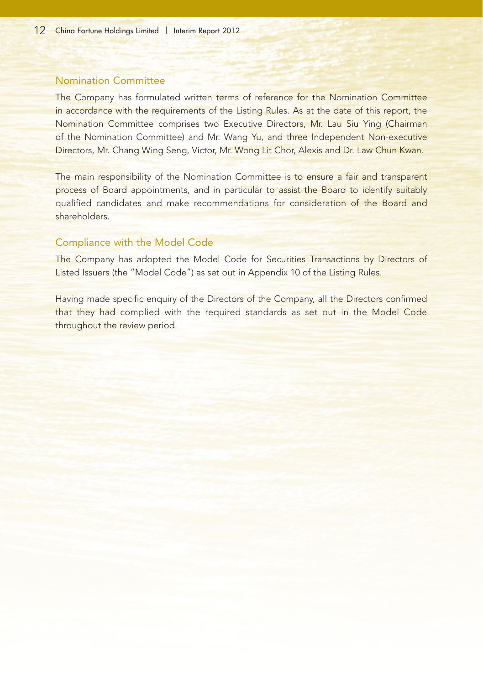# Nomination Committee

The Company has formulated written terms of reference for the Nomination Committee in accordance with the requirements of the Listing Rules. As at the date of this report, the Nomination Committee comprises two Executive Directors, Mr. Lau Siu Ying (Chairman of the Nomination Committee) and Mr. Wang Yu, and three Independent Non-executive Directors, Mr. Chang Wing Seng, Victor, Mr. Wong Lit Chor, Alexis and Dr. Law Chun Kwan.

The main responsibility of the Nomination Committee is to ensure a fair and transparent process of Board appointments, and in particular to assist the Board to identify suitably qualified candidates and make recommendations for consideration of the Board and shareholders.

## Compliance with the Model Code

The Company has adopted the Model Code for Securities Transactions by Directors of Listed Issuers (the "Model Code") as set out in Appendix 10 of the Listing Rules.

Having made specific enquiry of the Directors of the Company, all the Directors confirmed that they had complied with the required standards as set out in the Model Code throughout the review period.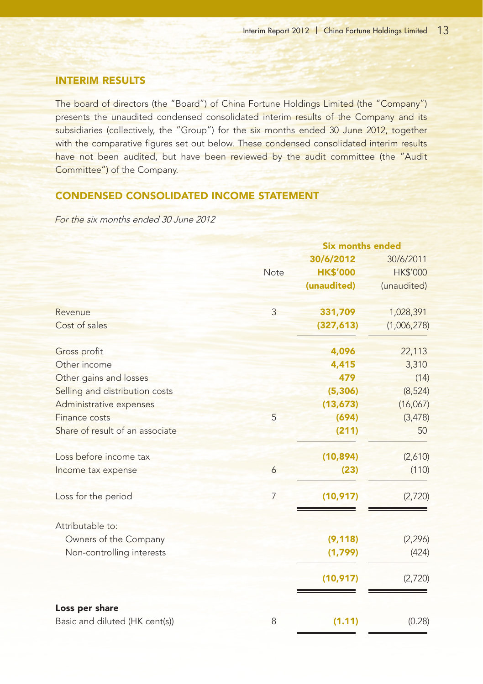# INTERIM RESULTS

The board of directors (the "Board") of China Fortune Holdings Limited (the "Company") presents the unaudited condensed consolidated interim results of the Company and its subsidiaries (collectively, the "Group") for the six months ended 30 June 2012, together with the comparative figures set out below. These condensed consolidated interim results have not been audited, but have been reviewed by the audit committee (the "Audit Committee") of the Company.

# CONDENSED CONSOLIDATED INCOME STATEMENT

For the six months ended 30 June 2012

|                                 |             | <b>Six months ended</b> |                 |  |
|---------------------------------|-------------|-------------------------|-----------------|--|
|                                 |             | 30/6/2012               | 30/6/2011       |  |
|                                 | <b>Note</b> | <b>HK\$'000</b>         | <b>HK\$'000</b> |  |
|                                 |             | (unaudited)             | (unaudited)     |  |
| Revenue                         | 3           | 331,709                 | 1,028,391       |  |
| Cost of sales                   |             | (327, 613)              | (1,006,278)     |  |
| Gross profit                    |             | 4,096                   | 22,113          |  |
| Other income                    |             | 4,415                   | 3,310           |  |
| Other gains and losses          |             | 479                     | (14)            |  |
| Selling and distribution costs  |             | (5, 306)                | (8, 524)        |  |
| Administrative expenses         |             | (13, 673)               | (16,067)        |  |
| Finance costs                   | 5           | (694)                   | (3, 478)        |  |
| Share of result of an associate |             | (211)                   | 50              |  |
| Loss before income tax          |             | (10, 894)               | (2,610)         |  |
| Income tax expense              | 6           | (23)                    | (110)           |  |
| Loss for the period             | 7           | (10, 917)               | (2,720)         |  |
| Attributable to:                |             |                         |                 |  |
| Owners of the Company           |             | (9, 118)                | (2, 296)        |  |
| Non-controlling interests       |             | (1,799)                 | (424)           |  |
|                                 |             | (10, 917)               | (2,720)         |  |
| Loss per share                  |             |                         |                 |  |
| Basic and diluted (HK cent(s))  | 8           | (1.11)                  | (0.28)          |  |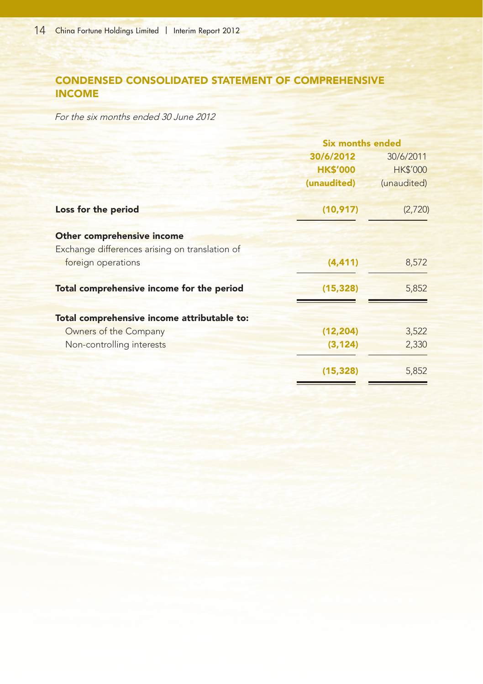# CONDENSED CONSOLIDATED STATEMENT OF COMPREHENSIVE INCOME

For the six months ended 30 June 2012

|                                                | <b>Six months ended</b> |                 |
|------------------------------------------------|-------------------------|-----------------|
|                                                | 30/6/2012               | 30/6/2011       |
|                                                | <b>HK\$'000</b>         | <b>HK\$'000</b> |
|                                                | (unaudited)             | (unaudited)     |
| Loss for the period                            | (10, 917)               | (2,720)         |
| Other comprehensive income                     |                         |                 |
| Exchange differences arising on translation of |                         |                 |
| foreign operations                             | (4, 411)                | 8,572           |
| Total comprehensive income for the period      | (15, 328)               | 5,852           |
| Total comprehensive income attributable to:    |                         |                 |
| Owners of the Company                          | (12, 204)               | 3,522           |
| Non-controlling interests                      | (3, 124)                | 2,330           |
|                                                | (15, 328)               | 5,852           |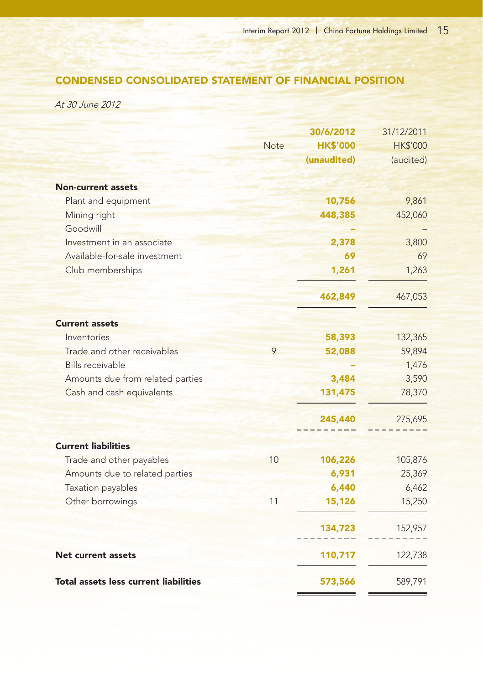# CONDENSED CONSOLIDATED STATEMENT OF FINANCIAL POSITION

At 30 June 2012

| <b>Non-current assets</b><br>Plant and equipment<br>Mining right<br>Goodwill<br>Investment in an associate<br>Available-for-sale investment | <b>Note</b> | 30/6/2012<br><b>HK\$'000</b><br>(unaudited)<br>10,756<br>448,385<br>2,378<br>69 | 31/12/2011<br><b>HK\$'000</b><br>(audited)<br>9,861<br>452,060<br>3,800<br>69 |
|---------------------------------------------------------------------------------------------------------------------------------------------|-------------|---------------------------------------------------------------------------------|-------------------------------------------------------------------------------|
| Club memberships                                                                                                                            |             | 1,261                                                                           | 1,263                                                                         |
|                                                                                                                                             |             | 462,849                                                                         | 467,053                                                                       |
| <b>Current assets</b>                                                                                                                       |             |                                                                                 |                                                                               |
| Inventories                                                                                                                                 |             | 58,393                                                                          | 132,365                                                                       |
| Trade and other receivables                                                                                                                 | 9           | 52,088                                                                          | 59,894                                                                        |
| <b>Bills receivable</b>                                                                                                                     |             |                                                                                 | 1,476                                                                         |
| Amounts due from related parties                                                                                                            |             | 3,484                                                                           | 3,590                                                                         |
| Cash and cash equivalents                                                                                                                   |             | 131,475                                                                         | 78,370                                                                        |
|                                                                                                                                             |             | 245,440                                                                         | 275,695                                                                       |
| <b>Current liabilities</b>                                                                                                                  |             |                                                                                 |                                                                               |
| Trade and other payables                                                                                                                    | 10          | 106,226                                                                         | 105,876                                                                       |
| Amounts due to related parties                                                                                                              |             | 6,931                                                                           | 25,369                                                                        |
| Taxation payables                                                                                                                           |             | 6,440                                                                           | 6,462                                                                         |
| Other borrowings                                                                                                                            | 11          | 15,126                                                                          | 15,250                                                                        |
|                                                                                                                                             |             | 134,723                                                                         | 152,957                                                                       |
| <b>Net current assets</b>                                                                                                                   |             | 110,717                                                                         | 122,738                                                                       |
| <b>Total assets less current liabilities</b>                                                                                                |             | 573,566                                                                         | 589,791                                                                       |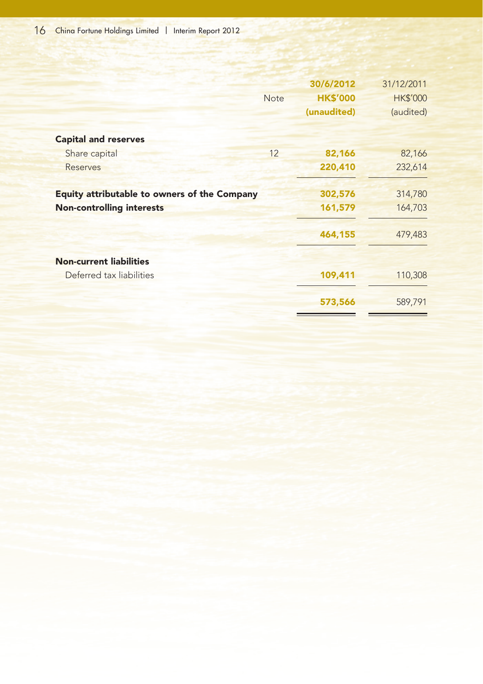|                                              | <b>Note</b> | 30/6/2012<br><b>HK\$'000</b><br>(unaudited) | 31/12/2011<br><b>HK\$'000</b><br>(audited) |
|----------------------------------------------|-------------|---------------------------------------------|--------------------------------------------|
| <b>Capital and reserves</b>                  |             |                                             |                                            |
| Share capital                                | 12          | 82,166                                      | 82,166                                     |
| <b>Reserves</b>                              |             | 220,410                                     | 232,614                                    |
| Equity attributable to owners of the Company |             | 302,576                                     | 314,780                                    |
| <b>Non-controlling interests</b>             |             | 161,579                                     | 164,703                                    |
|                                              |             | 464,155                                     | 479,483                                    |
| <b>Non-current liabilities</b>               |             |                                             |                                            |
| Deferred tax liabilities                     |             | 109,411                                     | 110,308                                    |
|                                              |             | 573,566                                     | 589,791                                    |
|                                              |             |                                             |                                            |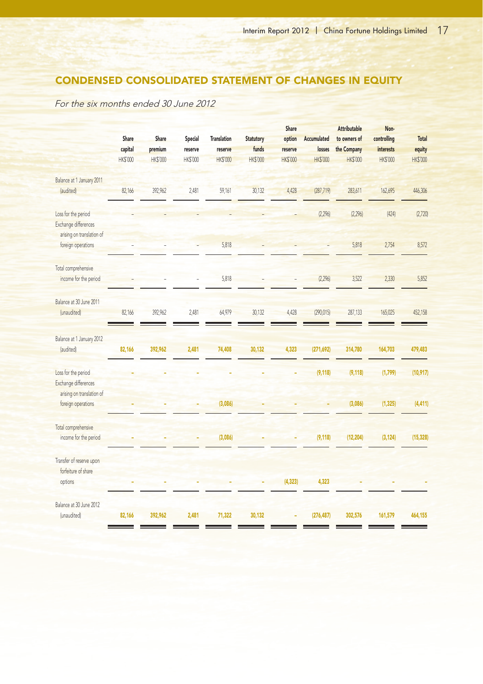# CONDENSED CONSOLIDATED STATEMENT OF CHANGES IN EQUITY

For the six months ended 30 June 2012

|                           |                 |                 |          |                    |                  | <b>Share</b>    |                 | <b>Attributable</b> | Non-             |                 |
|---------------------------|-----------------|-----------------|----------|--------------------|------------------|-----------------|-----------------|---------------------|------------------|-----------------|
|                           | Share           | Share           | Special  | <b>Translation</b> | <b>Statutory</b> | option          | Accumulated     | to owners of        | controlling      | Total           |
|                           | capital         | premium         | reserve  | reserve            | funds            | reserve         | losses          | the Company         | <i>interests</i> | equity          |
|                           | <b>HK\$'000</b> | <b>HK\$'000</b> | HK\$'000 | <b>HK\$'000</b>    | <b>HK\$'000</b>  | <b>HK\$'000</b> | <b>HK\$'000</b> | <b>HK\$'000</b>     | <b>HK\$'000</b>  | <b>HK\$'000</b> |
| Balance at 1 January 2011 |                 |                 |          |                    |                  |                 |                 |                     |                  |                 |
| (audited)                 | 82,166          | 392,962         | 2,481    | 59,161             | 30,132           | 4,428           | (287, 719)      | 283,611             | 162,695          | 446,306         |
| Loss for the period       |                 |                 |          |                    |                  |                 | (2, 296)        | (2, 296)            | (424)            | (2,720)         |
| Exchange differences      |                 |                 |          |                    |                  |                 |                 |                     |                  |                 |
| arising on translation of |                 |                 |          |                    |                  |                 |                 |                     |                  |                 |
| foreign operations        |                 |                 |          | 5,818              |                  |                 |                 | 5,818               | 2,754            | 8,572           |
| Total comprehensive       |                 |                 |          |                    |                  |                 |                 |                     |                  |                 |
| income for the period     |                 |                 |          | 5.818              |                  |                 | (2, 296)        | 3,522               | 2,330            | 5,852           |
| Balance at 30 June 2011   |                 |                 |          |                    |                  |                 |                 |                     |                  |                 |
| (unaudited)               | 82,166          | 392,962         | 2,481    | 64,979             | 30,132           | 4,428           | (290, 015)      | 287,133             | 165,025          | 452,158         |
| Balance at 1 January 2012 |                 |                 |          |                    |                  |                 |                 |                     |                  |                 |
| (audited)                 | 82,166          | 392,962         | 2,481    | 74,408             | 30,132           | 4,323           | (271, 692)      | 314,780             | 164,703          | 479,483         |
| Loss for the period       |                 |                 |          |                    |                  |                 | (9, 118)        | (9, 118)            | (1,799)          | (10, 917)       |
| Exchange differences      |                 |                 |          |                    |                  |                 |                 |                     |                  |                 |
| arising on translation of |                 |                 |          |                    |                  |                 |                 |                     |                  |                 |
| foreign operations        |                 |                 |          | (3,086)            |                  |                 |                 | (3,086)             | (1, 325)         | (4, 411)        |
| Total comprehensive       |                 |                 |          |                    |                  |                 |                 |                     |                  |                 |
| income for the period     |                 |                 |          | (3,086)            |                  |                 | (9, 118)        | (12, 204)           | (3, 124)         | (15, 328)       |
| Transfer of reserve upon  |                 |                 |          |                    |                  |                 |                 |                     |                  |                 |
| forfeiture of share       |                 |                 |          |                    |                  |                 |                 |                     |                  |                 |
| options                   |                 |                 |          |                    |                  | (4, 323)        | 4,323           |                     |                  |                 |
| Balance at 30 June 2012   |                 |                 |          |                    |                  |                 |                 |                     |                  |                 |
| (unaudited)               | 82,166          | 392,962         | 2,481    | 71,322             | 30,132           |                 | (276, 487)      | 302,576             | 161,579          | 464,155         |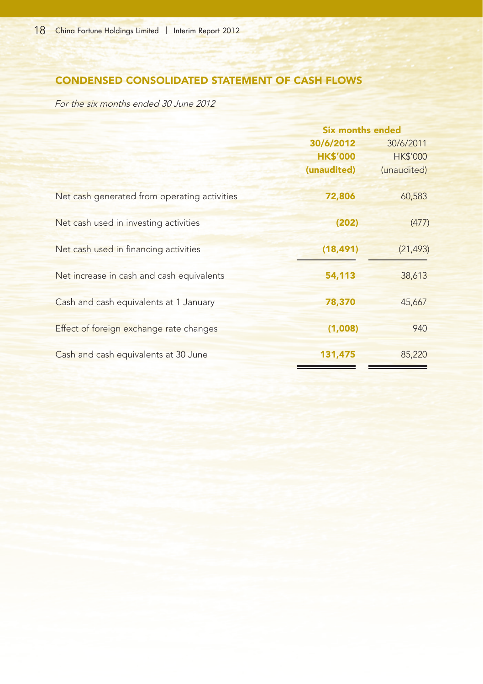# CONDENSED CONSOLIDATED STATEMENT OF CASH FLOWS

For the six months ended 30 June 2012

|                                              | <b>Six months ended</b> |                 |
|----------------------------------------------|-------------------------|-----------------|
|                                              | 30/6/2012               | 30/6/2011       |
|                                              | <b>HK\$'000</b>         | <b>HK\$'000</b> |
|                                              | (unaudited)             | (unaudited)     |
| Net cash generated from operating activities | 72,806                  | 60,583          |
| Net cash used in investing activities        | (202)                   | (477)           |
| Net cash used in financing activities        | (18, 491)               | (21, 493)       |
| Net increase in cash and cash equivalents    | 54,113                  | 38,613          |
| Cash and cash equivalents at 1 January       | 78,370                  | 45,667          |
| Effect of foreign exchange rate changes      | (1.008)                 | 940             |
| Cash and cash equivalents at 30 June         | 131,475                 | 85,220          |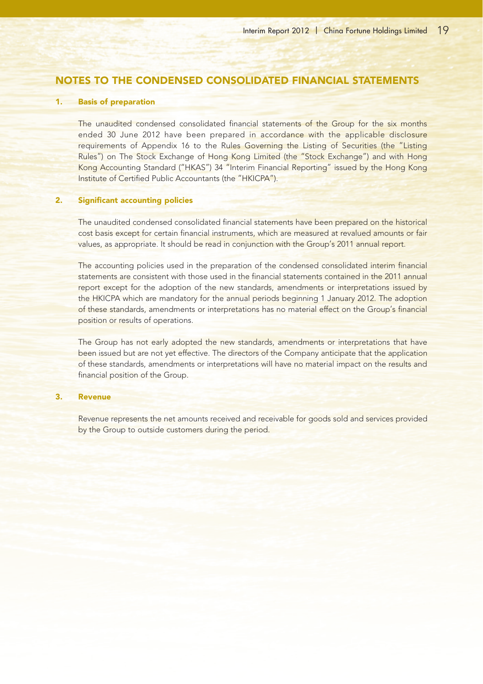# NOTES TO THE CONDENSED CONSOLIDATED FINANCIAL STATEMENTS

#### 1. Basis of preparation

The unaudited condensed consolidated financial statements of the Group for the six months ended 30 June 2012 have been prepared in accordance with the applicable disclosure requirements of Appendix 16 to the Rules Governing the Listing of Securities (the "Listing Rules") on The Stock Exchange of Hong Kong Limited (the "Stock Exchange") and with Hong Kong Accounting Standard ("HKAS") 34 "Interim Financial Reporting" issued by the Hong Kong Institute of Certified Public Accountants (the "HKICPA").

#### 2. Significant accounting policies

The unaudited condensed consolidated financial statements have been prepared on the historical cost basis except for certain financial instruments, which are measured at revalued amounts or fair values, as appropriate. It should be read in conjunction with the Group's 2011 annual report.

The accounting policies used in the preparation of the condensed consolidated interim financial statements are consistent with those used in the financial statements contained in the 2011 annual report except for the adoption of the new standards, amendments or interpretations issued by the HKICPA which are mandatory for the annual periods beginning 1 January 2012. The adoption of these standards, amendments or interpretations has no material effect on the Group's financial position or results of operations.

The Group has not early adopted the new standards, amendments or interpretations that have been issued but are not yet effective. The directors of the Company anticipate that the application of these standards, amendments or interpretations will have no material impact on the results and financial position of the Group.

#### 3. Revenue

Revenue represents the net amounts received and receivable for goods sold and services provided by the Group to outside customers during the period.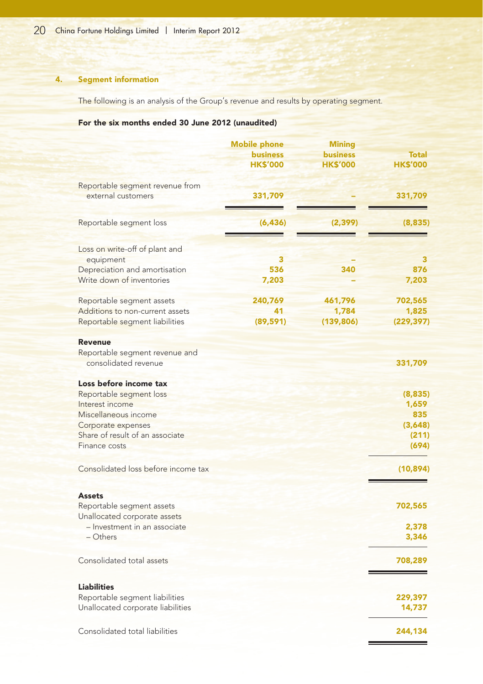# 4. Segment information

The following is an analysis of the Group's revenue and results by operating segment.

# For the six months ended 30 June 2012 (unaudited)

|                                                                   | <b>Mobile phone</b><br><b>business</b><br><b>HK\$'000</b> | <b>Mining</b><br><b>business</b><br><b>HK\$'000</b> | <b>Total</b><br><b>HK\$'000</b> |
|-------------------------------------------------------------------|-----------------------------------------------------------|-----------------------------------------------------|---------------------------------|
| Reportable segment revenue from<br>external customers             | 331,709                                                   |                                                     | 331,709                         |
| Reportable segment loss                                           | (6, 436)                                                  | (2, 399)                                            | (8, 835)                        |
| Loss on write-off of plant and                                    |                                                           |                                                     |                                 |
| equipment                                                         | 3                                                         |                                                     | з                               |
| Depreciation and amortisation<br>Write down of inventories        | 536<br>7,203                                              | 340                                                 | 876<br>7,203                    |
| Reportable segment assets                                         | 240,769                                                   | 461,796                                             | 702,565                         |
| Additions to non-current assets<br>Reportable segment liabilities | 41<br>(89, 591)                                           | 1,784<br>(139, 806)                                 | 1,825<br>(229, 397)             |
| <b>Revenue</b>                                                    |                                                           |                                                     |                                 |
| Reportable segment revenue and<br>consolidated revenue            |                                                           |                                                     | 331,709                         |
| Loss before income tax                                            |                                                           |                                                     |                                 |
| Reportable segment loss                                           |                                                           |                                                     | (8,835)                         |
| Interest income                                                   |                                                           |                                                     | 1,659                           |
| Miscellaneous income                                              |                                                           |                                                     | 835                             |
| Corporate expenses<br>Share of result of an associate             |                                                           |                                                     | (3,648)                         |
| Finance costs                                                     |                                                           |                                                     | (211)<br>(694)                  |
| Consolidated loss before income tax                               |                                                           |                                                     | (10, 894)                       |
| <b>Assets</b>                                                     |                                                           |                                                     |                                 |
| Reportable segment assets                                         |                                                           |                                                     | 702,565                         |
| Unallocated corporate assets                                      |                                                           |                                                     |                                 |
| - Investment in an associate<br>- Others                          |                                                           |                                                     | 2,378<br>3,346                  |
| Consolidated total assets                                         |                                                           |                                                     | 708,289                         |
| <b>Liabilities</b>                                                |                                                           |                                                     |                                 |
| Reportable segment liabilities                                    |                                                           |                                                     | 229,397                         |
| Unallocated corporate liabilities                                 |                                                           |                                                     | 14,737                          |
| Consolidated total liabilities                                    |                                                           |                                                     | 244,134                         |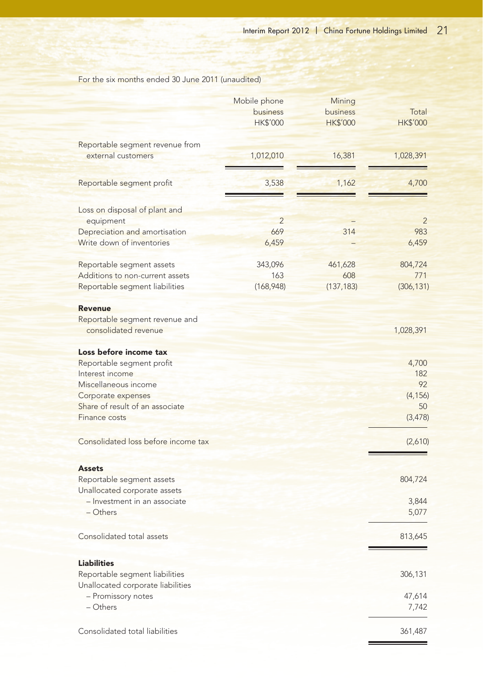For the six months ended 30 June 2011 (unaudited)

|                                     | Mobile phone<br>business<br><b>HK\$'000</b> | Mining<br>business<br><b>HK\$'000</b> | Total<br><b>HK\$'000</b> |
|-------------------------------------|---------------------------------------------|---------------------------------------|--------------------------|
| Reportable segment revenue from     |                                             |                                       |                          |
| external customers                  | 1,012,010                                   | 16,381                                | 1,028,391                |
| Reportable segment profit           | 3,538                                       | 1,162                                 | 4,700                    |
| Loss on disposal of plant and       |                                             |                                       |                          |
| equipment                           | $\overline{2}$                              |                                       | $\overline{2}$           |
| Depreciation and amortisation       | 669                                         | 314                                   | 983                      |
| Write down of inventories           | 6,459                                       |                                       | 6,459                    |
| Reportable segment assets           | 343,096                                     | 461,628                               | 804,724                  |
| Additions to non-current assets     | 163                                         | 608                                   | 771                      |
| Reportable segment liabilities      | (168, 948)                                  | (137, 183)                            | (306, 131)               |
| <b>Revenue</b>                      |                                             |                                       |                          |
| Reportable segment revenue and      |                                             |                                       |                          |
| consolidated revenue                |                                             |                                       | 1,028,391                |
| Loss before income tax              |                                             |                                       |                          |
| Reportable segment profit           |                                             |                                       | 4,700                    |
| Interest income                     |                                             |                                       | 182                      |
| Miscellaneous income                |                                             |                                       | 92                       |
| Corporate expenses                  |                                             |                                       | (4, 156)                 |
| Share of result of an associate     |                                             |                                       | 50                       |
| Finance costs                       |                                             |                                       | (3, 478)                 |
| Consolidated loss before income tax |                                             |                                       | (2,610)                  |
| <b>Assets</b>                       |                                             |                                       |                          |
| Reportable segment assets           |                                             |                                       | 804,724                  |
| Unallocated corporate assets        |                                             |                                       |                          |
| - Investment in an associate        |                                             |                                       | 3,844                    |
| $-$ Others                          |                                             |                                       | 5,077                    |
| Consolidated total assets           |                                             |                                       | 813,645                  |
| <b>Liabilities</b>                  |                                             |                                       |                          |
| Reportable segment liabilities      |                                             |                                       | 306,131                  |
| Unallocated corporate liabilities   |                                             |                                       |                          |
| - Promissory notes                  |                                             |                                       | 47,614                   |
| – Others                            |                                             |                                       | 7,742                    |
| Consolidated total liabilities      |                                             |                                       | 361,487                  |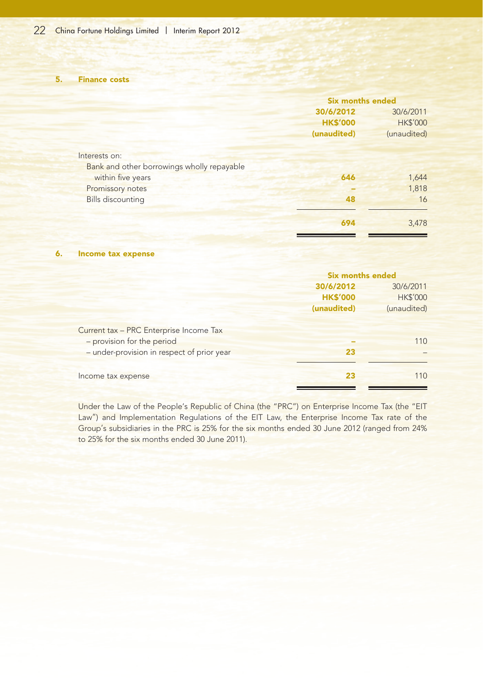5. Finance costs

|                                            | <b>Six months ended</b> |                 |
|--------------------------------------------|-------------------------|-----------------|
|                                            | 30/6/2012               | 30/6/2011       |
|                                            | <b>HK\$'000</b>         | <b>HK\$'000</b> |
|                                            | (unaudited)             | (unaudited)     |
| Interests on:                              |                         |                 |
| Bank and other borrowings wholly repayable |                         |                 |
| within five years                          | 646                     | 1,644           |
| Promissory notes                           |                         | 1,818           |
| <b>Bills discounting</b>                   | 48                      | 16              |
|                                            | 694                     | 3,478           |

#### 6. Income tax expense

|                                            | <b>Six months ended</b> |                 |
|--------------------------------------------|-------------------------|-----------------|
|                                            | 30/6/2012               | 30/6/2011       |
|                                            | <b>HK\$'000</b>         | <b>HK\$'000</b> |
|                                            | (unaudited)             | (unaudited)     |
|                                            |                         |                 |
| Current tax - PRC Enterprise Income Tax    |                         |                 |
| - provision for the period                 |                         | 110             |
| - under-provision in respect of prior year | 23                      |                 |
|                                            |                         |                 |
| Income tax expense                         | 23                      | 110             |

Under the Law of the People's Republic of China (the "PRC") on Enterprise Income Tax (the "EIT Law") and Implementation Regulations of the EIT Law, the Enterprise Income Tax rate of the Group's subsidiaries in the PRC is 25% for the six months ended 30 June 2012 (ranged from 24% to 25% for the six months ended 30 June 2011).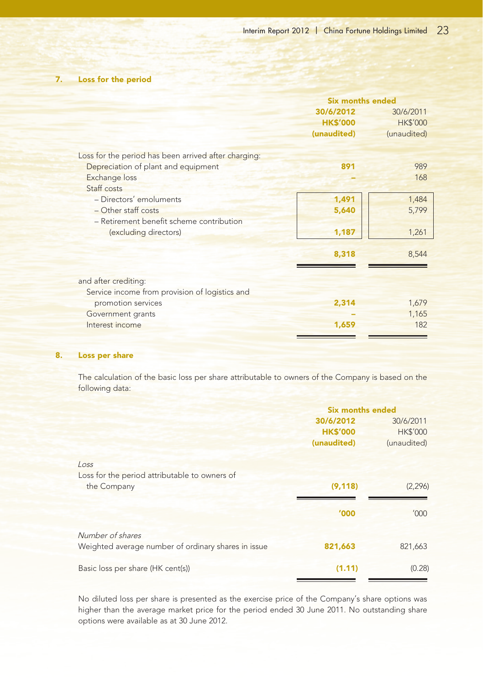# 7. Loss for the period

|                                                      | <b>Six months ended</b> |                 |
|------------------------------------------------------|-------------------------|-----------------|
|                                                      | 30/6/2012               | 30/6/2011       |
|                                                      | <b>HK\$'000</b>         | <b>HK\$'000</b> |
|                                                      | (unaudited)             | (unaudited)     |
| Loss for the period has been arrived after charging: |                         |                 |
| Depreciation of plant and equipment                  | 891                     | 989             |
| <b>Exchange loss</b>                                 |                         | 168             |
| Staff costs                                          |                         |                 |
| - Directors' emoluments                              | 1,491                   | 1,484           |
| - Other staff costs                                  | 5,640                   | 5,799           |
| - Retirement benefit scheme contribution             |                         |                 |
| (excluding directors)                                | 1,187                   | 1,261           |
|                                                      | 8,318                   | 8,544           |
| and after crediting:                                 |                         |                 |
| Service income from provision of logistics and       |                         |                 |
| promotion services                                   | 2,314                   | 1,679           |
| Government grants                                    |                         | 1,165           |
| Interest income                                      | 1,659                   | 182             |
|                                                      |                         |                 |

#### 8. Loss per share

The calculation of the basic loss per share attributable to owners of the Company is based on the following data:

|                                                     | <b>Six months ended</b> |                 |
|-----------------------------------------------------|-------------------------|-----------------|
|                                                     | 30/6/2012               | 30/6/2011       |
|                                                     | <b>HK\$'000</b>         | <b>HK\$'000</b> |
|                                                     | (unaudited)             | (unaudited)     |
| Loss                                                |                         |                 |
| Loss for the period attributable to owners of       |                         |                 |
| the Company                                         | (9, 118)                | (2, 296)        |
|                                                     | '000                    | '000'           |
| Number of shares                                    |                         |                 |
| Weighted average number of ordinary shares in issue | 821,663                 | 821,663         |
| Basic loss per share (HK cent(s))                   | (1.11)                  | (0.28)          |

No diluted loss per share is presented as the exercise price of the Company's share options was higher than the average market price for the period ended 30 June 2011. No outstanding share options were available as at 30 June 2012.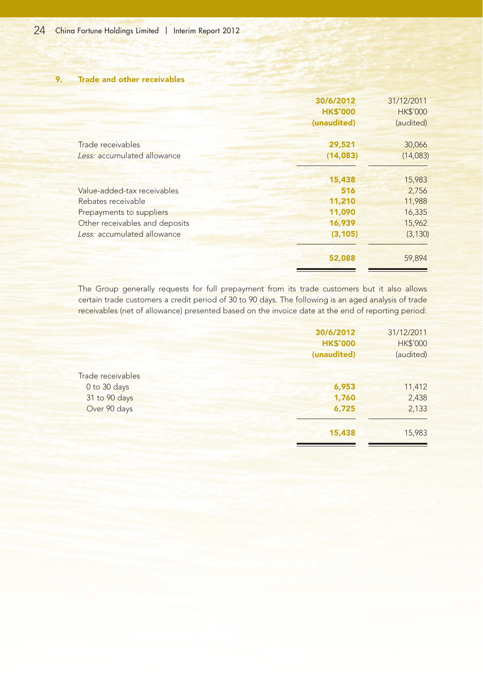9. Trade and other receivables

|                                                                                                                                                | 30/6/2012<br><b>HK\$'000</b><br>(unaudited)             | 31/12/2011<br><b>HK\$'000</b><br>(audited)                |
|------------------------------------------------------------------------------------------------------------------------------------------------|---------------------------------------------------------|-----------------------------------------------------------|
| Trade receivables<br>Less: accumulated allowance                                                                                               | 29,521<br>(14, 083)                                     | 30,066<br>(14,083)                                        |
| Value-added-tax receivables<br>Rebates receivable<br>Prepayments to suppliers<br>Other receivables and deposits<br>Less: accumulated allowance | 15,438<br>516<br>11,210<br>11,090<br>16,939<br>(3, 105) | 15,983<br>2,756<br>11,988<br>16,335<br>15,962<br>(3, 130) |
|                                                                                                                                                | 52,088                                                  | 59,894                                                    |

The Group generally requests for full prepayment from its trade customers but it also allows certain trade customers a credit period of 30 to 90 days. The following is an aged analysis of trade receivables (net of allowance) presented based on the invoice date at the end of reporting period:

|                   | 30/6/2012       | 31/12/2011      |
|-------------------|-----------------|-----------------|
|                   | <b>HK\$'000</b> | <b>HK\$'000</b> |
|                   | (unaudited)     | (audited)       |
| Trade receivables |                 |                 |
| 0 to 30 days      | 6,953           | 11,412          |
| 31 to 90 days     | 1,760           | 2,438           |
| Over 90 days      | 6,725           | 2,133           |
|                   | 15,438          | 15,983          |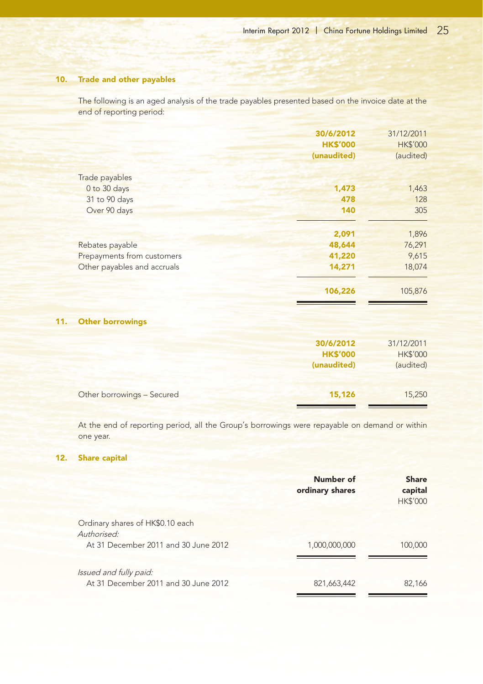#### 10. Trade and other payables

The following is an aged analysis of the trade payables presented based on the invoice date at the end of reporting period:

|                             | 30/6/2012       | 31/12/2011      |
|-----------------------------|-----------------|-----------------|
|                             | <b>HK\$'000</b> | <b>HK\$'000</b> |
|                             | (unaudited)     | (audited)       |
| Trade payables              |                 |                 |
| 0 to 30 days                | 1,473           | 1,463           |
| 31 to 90 days               | 478             | 128             |
| Over 90 days                | 140             | 305             |
|                             | 2,091           | 1,896           |
| Rebates payable             | 48,644          | 76,291          |
| Prepayments from customers  | 41,220          | 9,615           |
| Other payables and accruals | 14,271          | 18,074          |
|                             | 106,226         | 105,876         |
| <b>Other borrowings</b>     |                 |                 |
|                             | 30/6/2012       | 31/12/2011      |
|                             | <b>HK\$'000</b> | <b>HK\$'000</b> |
|                             | (unaudited)     | (audited)       |

| Other borrowings - Secured | 15,126 | 15,250 |
|----------------------------|--------|--------|
|                            |        |        |

At the end of reporting period, all the Group's borrowings were repayable on demand or within one year.

#### 12. Share capital

 $11.$ 

|                                                                                         | Number of<br>ordinary shares | <b>Share</b><br>capital<br><b>HK\$'000</b> |
|-----------------------------------------------------------------------------------------|------------------------------|--------------------------------------------|
| Ordinary shares of HK\$0.10 each<br>Authorised:<br>At 31 December 2011 and 30 June 2012 | 1,000,000,000                | 100,000                                    |
| Issued and fully paid:<br>At 31 December 2011 and 30 June 2012                          | 821,663,442                  | 82,166                                     |